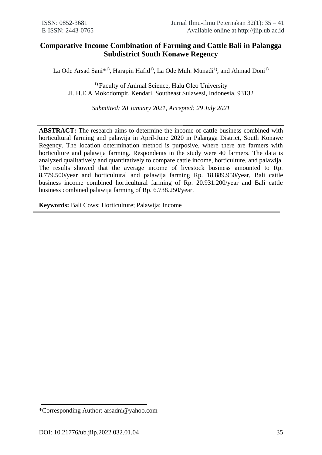# **Comparative Income Combination of Farming and Cattle Bali in Palangga Subdistrict South Konawe Regency**

La Ode Arsad Sani\*<sup>1)</sup>, Harapin Hafid<sup>1)</sup>, La Ode Muh. Munadi<sup>1)</sup>, and Ahmad Doni<sup>1)</sup>

<sup>1)</sup> Faculty of Animal Science, Halu Oleo University Jl. H.E.A Mokodompit, Kendari, Southeast Sulawesi, Indonesia, 93132

*Submitted: 28 January 2021, Accepted: 29 July 2021*

**ABSTRACT:** The research aims to determine the income of cattle business combined with horticultural farming and palawija in April-June 2020 in Palangga District, South Konawe Regency. The location determination method is purposive, where there are farmers with horticulture and palawija farming. Respondents in the study were 40 farmers. The data is analyzed qualitatively and quantitatively to compare cattle income, horticulture, and palawija. The results showed that the average income of livestock business amounted to Rp. 8.779.500/year and horticultural and palawija farming Rp. 18.889.950/year, Bali cattle business income combined horticultural farming of Rp. 20.931.200/year and Bali cattle business combined palawija farming of Rp. 6.738.250/year.

**Keywords:** Bali Cows; Horticulture; Palawija; Income

<sup>\*</sup>Corresponding Author: arsadni@yahoo.com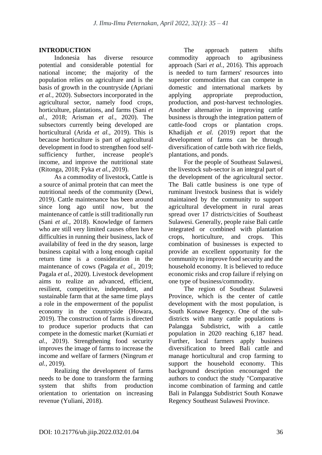### **INTRODUCTION**

Indonesia has diverse resource potential and considerable potential for national income; the majority of the population relies on agriculture and is the basis of growth in the countryside (Apriani *et al.,* 2020). Subsectors incorporated in the agricultural sector, namely food crops, horticulture, plantations, and farms (Sani *et al.,* 2018; Arisman *et al.,* 2020). The subsectors currently being developed are horticultural (Arida *et al.,* 2019). This is because horticulture is part of agricultural development in food to strengthen food selfsufficiency further, increase people's income, and improve the nutritional state (Ritonga, 2018; Fyka *et al.,* 2019).

As a commodity of livestock, Cattle is a source of animal protein that can meet the nutritional needs of the community (Dewi, 2019). Cattle maintenance has been around since long ago until now, but the maintenance of cattle is still traditionally run (Sani *et al.,* 2018). Knowledge of farmers who are still very limited causes often have difficulties in running their business, lack of availability of feed in the dry season, large business capital with a long enough capital return time is a consideration in the maintenance of cows (Pagala *et al.,* 2019; Pagala *et al.,* 2020). Livestock development aims to realize an advanced, efficient, resilient, competitive, independent, and sustainable farm that at the same time plays a role in the empowerment of the populist economy in the countryside (Howara, 2019). The construction of farms is directed to produce superior products that can compete in the domestic market (Kurniati *et al.,* 2019). Strengthening food security improves the image of farms to increase the income and welfare of farmers (Ningrum *et al.,* 2019).

Realizing the development of farms needs to be done to transform the farming system that shifts from production orientation to orientation on increasing revenue (Yuliani, 2018).

The approach pattern shifts commodity approach to agribusiness approach (Sari *et al.,* 2016). This approach is needed to turn farmers' resources into superior commodities that can compete in domestic and international markets by applying appropriate preproduction, production, and post-harvest technologies. Another alternative in improving cattle business is through the integration pattern of cattle-food crops or plantation crops. Khadijah *et al.* (2019) report that the development of farms can be through diversification of cattle both with rice fields, plantations, and ponds.

For the people of Southeast Sulawesi, the livestock sub-sector is an integral part of the development of the agricultural sector. The Bali cattle business is one type of ruminant livestock business that is widely maintained by the community to support agricultural development in rural areas spread over 17 districts/cities of Southeast Sulawesi. Generally, people raise Bali cattle integrated or combined with plantation crops, horticulture, and crops. This combination of businesses is expected to provide an excellent opportunity for the community to improve food security and the household economy. It is believed to reduce economic risks and crop failure if relying on one type of business/commodity.

The region of Southeast Sulawesi Province, which is the center of cattle development with the most population, is South Konawe Regency. One of the subdistricts with many cattle populations is Palangga Subdistrict, with a cattle population in 2020 reaching 6,187 head. Further, local farmers apply business diversification to breed Bali cattle and manage horticultural and crop farming to support the household economy. This background description encouraged the authors to conduct the study "Comparative income combination of farming and cattle Bali in Palangga Subdistrict South Konawe Regency Southeast Sulawesi Province.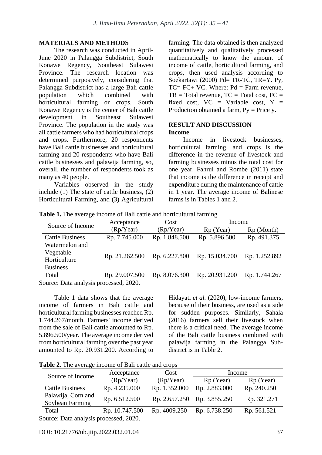#### **MATERIALS AND METHODS**

The research was conducted in April-June 2020 in Palangga Subdistrict, South Konawe Regency, Southeast Sulawesi Province. The research location was determined purposively, considering that Palangga Subdistrict has a large Bali cattle population which combined with horticultural farming or crops. South Konawe Regency is the center of Bali cattle development in Southeast Sulawesi Province. The population in the study was all cattle farmers who had horticultural crops and crops. Furthermore, 20 respondents have Bali cattle businesses and horticultural farming and 20 respondents who have Bali cattle businesses and palawija farming, so, overall, the number of respondents took as many as 40 people.

Variables observed in the study include (1) The state of cattle business, (2) Horticultural Farming, and (3) Agricultural farming. The data obtained is then analyzed quantitatively and qualitatively processed mathematically to know the amount of income of cattle, horticultural farming, and crops, then used analysis according to Soekartawi (2000) Pd= TR-TC, TR=Y. Py,  $TC = FC + VC$ . Where:  $Pd = Farm$  revenue,  $TR = Total revenue, TC = Total cost, FC =$ fixed cost,  $VC = Variable cost$ ,  $Y =$ Production obtained a farm,  $Py = Price y$ .

#### **RESULT AND DISCUSSION Income**

Income in livestock businesses, horticultural farming, and crops is the difference in the revenue of livestock and farming businesses minus the total cost for one year. Fahrul and Rombe (2011) state that income is the difference in receipt and expenditure during the maintenance of cattle in 1 year. The average income of Balinese farms is in Tables 1 and 2.

|                                     | Acceptance     | Cost          |                | Income        |  |
|-------------------------------------|----------------|---------------|----------------|---------------|--|
| Source of Income                    | (Rp/Year)      | (Rp/Year)     | $Rp$ (Year)    | Rp (Month)    |  |
| <b>Cattle Business</b>              | Rp. 7.745.000  | Rp. 1.848.500 | Rp. 5.896.500  | Rp. 491.375   |  |
| Watermelon and                      |                |               |                |               |  |
| Vegetable                           |                |               |                |               |  |
| Horticulture                        | Rp. 21.262.500 | Rp. 6.227.800 | Rp. 15.034.700 | Rp. 1.252.892 |  |
| <b>Business</b>                     |                |               |                |               |  |
| Total                               | Rp. 29.007.500 | Rp. 8.076.300 | Rp. 20.931.200 | Rp. 1.744.267 |  |
| Course Data applysis processed 2020 |                |               |                |               |  |

**Table 1.** The average income of Bali cattle and horticultural farming

Source: Data analysis processed, 2020.

Table 1 data shows that the average income of farmers in Bali cattle and horticultural farming businesses reached Rp. 1.744.267/month. Farmers' income derived from the sale of Bali cattle amounted to Rp. 5.896.500/year. The average income derived from horticultural farming over the past year amounted to Rp. 20.931.200. According to Hidayati *et al.* (2020), low-income farmers, because of their business, are used as a side for sudden purposes. Similarly, Sahala (2016) farmers sell their livestock when there is a critical need. The average income of the Bali cattle business combined with palawija farming in the Palangga Subdistrict is in Table 2.

| Table 2. The average income of Bali cattle and crops |  |  |  |
|------------------------------------------------------|--|--|--|
|                                                      |  |  |  |

|                                       | Acceptance     | Cost          | Income                      |             |
|---------------------------------------|----------------|---------------|-----------------------------|-------------|
| Source of Income                      | (Rp/Year)      | (Rp/Year)     | Rp (Year)                   | Rp (Year)   |
| <b>Cattle Business</b>                | Rp. 4.235.000  | Rp. 1.352.000 | Rp. 2.883.000               | Rp. 240.250 |
| Palawija, Corn and<br>Soybean Farming | Rp. 6.512.500  |               | Rp. 2.657.250 Rp. 3.855.250 | Rp. 321.271 |
| Total                                 | Rp. 10.747.500 | Rp. 4009.250  | Rp. 6.738.250               | Rp. 561.521 |
| Source: Data analysis processed 2020  |                |               |                             |             |

Source: Data analysis processed, 2020.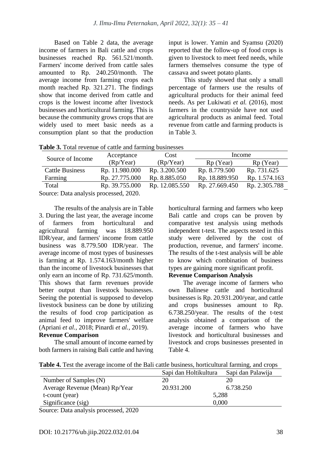Based on Table 2 data, the average income of farmers in Bali cattle and crops businesses reached Rp. 561.521/month. Farmers' income derived from cattle sales amounted to Rp. 240.250/month. The average income from farming crops each month reached Rp. 321.271. The findings show that income derived from cattle and crops is the lowest income after livestock businesses and horticultural farming. This is because the community grows crops that are widely used to meet basic needs as a consumption plant so that the production input is lower. Yamin and Syamsu (2020) reported that the follow-up of food crops is given to livestock to meet feed needs, while farmers themselves consume the type of cassava and sweet potato plants.

This study showed that only a small percentage of farmers use the results of agricultural products for their animal feed needs. As per Lukiwati *et al.* (2016), most farmers in the countryside have not used agricultural products as animal feed. Total revenue from cattle and farming products is in Table 3.

**Table 3.** Total revenue of cattle and farming businesses

| Source of Income                       | Acceptance     | Cost           | Income         |                       |  |
|----------------------------------------|----------------|----------------|----------------|-----------------------|--|
|                                        | (Rp/Year)      | (Rp/Year)      | $Rp$ (Year)    | R <sub>p</sub> (Year) |  |
| <b>Cattle Business</b>                 | Rp. 11.980.000 | Rp. 3.200.500  | Rp. 8.779.500  | Rp. 731.625           |  |
| Farming                                | Rp. 27.775.000 | Rp. 8.885.050  | Rp. 18.889.950 | Rp. 1.574.163         |  |
| Total                                  | Rp. 39.755.000 | Rp. 12.085.550 | Rp. 27.669.450 | Rp. 2.305.788         |  |
| Source: Data analysis processed, 2020. |                |                |                |                       |  |

The results of the analysis are in Table 3. During the last year, the average income of farmers from horticultural and<br>agricultural farming was 18.889.950 agricultural farming was 18.889.950 IDR/year, and farmers' income from cattle business was 8.779.500 IDR/year. The average income of most types of businesses is farming at Rp. 1.574.163/month higher than the income of livestock businesses that only earn an income of Rp. 731.625/month. This shows that farm revenues provide better output than livestock businesses. Seeing the potential is supposed to develop livestock business can be done by utilizing the results of food crop participation as animal feed to improve farmers' welfare (Apriani *et al.,* 2018; Pinardi *et al.,* 2019).

# **Revenue Comparison**

The small amount of income earned by both farmers in raising Bali cattle and having horticultural farming and farmers who keep Bali cattle and crops can be proven by comparative test analysis using methods independent t-test*.* The aspects tested in this study were delivered by the cost of production, revenue, and farmers' income. The results of the t-test analysis will be able to know which combination of business types are gaining more significant profit.

## **Revenue Comparison Analysis**

The average income of farmers who own Balinese cattle and horticultural businesses is Rp. 20.931.200/year, and cattle and crops businesses amount to Rp. 6.738.250/year. The results of the t-test analysis obtained a comparison of the average income of farmers who have livestock and horticultural businesses and livestock and crops businesses presented in Table 4.

| Table 4. Test the average income of the Bali cattle business, horticultural farming, and crops |  |
|------------------------------------------------------------------------------------------------|--|
|------------------------------------------------------------------------------------------------|--|

|                                       | Sapi dan Holtikultura | Sapi dan Palawija |  |
|---------------------------------------|-----------------------|-------------------|--|
| Number of Samples (N)                 | 20                    | 20                |  |
| Average Revenue (Mean) Rp/Year        | 20.931.200            | 6.738.250         |  |
| t-count (year)                        |                       | 5,288             |  |
| Significance (sig)                    | 0.000                 |                   |  |
| Source: Data analysis processed, 2020 |                       |                   |  |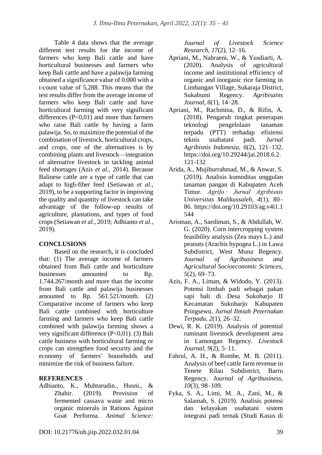Table 4 data shows that the average different test results for the income of farmers who keep Bali cattle and have horticultural businesses and farmers who keep Bali cattle and have a palawija farming obtained a significance value of 0.000 with a t-count value of 5,288. This means that the test results differ from the average income of farmers who keep Bali cattle and have horticultural farming with very significant differences  $(P<0.01)$  and more than farmers who raise Bali cattle by having a farm palawija. So, to maximize the potential of the combination of livestock, horticultural crops, and crops, one of the alternatives is by combining plants and livestock—integration of alternative livestock in tackling animal feed shortages (Azis *et al.,* 2014). Because Balinese cattle are a type of cattle that can adapt to high-fiber feed (Setiawan *et al.,* 2019), to be a supporting factor in improving the quality and quantity of livestock can take advantage of the follow-up results of agriculture, plantations, and types of food crops (Setiawan *et al.,* 2019; Adhianto *et al.,* 2019).

## **CONCLUSIONS**

Based on the research, it is concluded that: (1) The average income of farmers obtained from Bali cattle and horticulture businesses amounted to Rp. 1.744.267/month and more than the income from Bali cattle and palawija businesses amounted to Rp. 561.521/month. (2) Comparative income of farmers who keep Bali cattle combined with horticulture farming and farmers who keep Bali cattle combined with palawija farming shows a very significant difference (P<0,01). (3) Bali cattle business with horticultural farming or crops can strengthen food security and the economy of farmers' households and minimize the risk of business failure.

### **REFERENCES**

Adhianto, K., Muhtarudin., Husni., & Zhahir. (2019). Provision of fermented cassava waste and micro organic minerals in Rations Against Goat Performa. *Animal Science:*  *Journal of Livestock Science Research*, *17*(2), 12–16.

- Apriani, M., Nahraeni, W., & Yusdiarti, A. (2020). Analysis of agricultural income and institutional efficiency of organic and inorganic rice farming in Limbangan Village, Sukaraja District, Sukabumi Regency. *Agribisains Journal*, *6*(1), 14–28.
- Apriani, M., Rachmina, D., & Rifin, A. (2018). Pengaruh tingkat penerapan teknologi pengelolaan tanaman terpadu (PTT) terhadap efisiensi teknis usahatani padi. *Jurnal Agribisnis Indonesia*, *6*(2), 121–132. https://doi.org/10.29244/jai.2018.6.2. 121-132
- Arida, A., Mujiburrahmad, M., & Anwar, S. (2019). Analisis komoditas unggulan tanaman pangan di Kabupaten Aceh Timur. *Agrifo : Jurnal Agribisnis Universitas Malikussaleh*, *4*(1), 80– 86. https://doi.org/10.29103/ag.v4i1.1 544
- Arisman, A., Saediman, S., & Abdullah, W. G. (2020). Corn intercropping system feasibility analysis (Zea mays L.) and peanuts (Arachis hypogea L.) in Lawa Subdistrict, West Muna Regency. *Journal of Agribusiness and Agricultural Socioeconomic Sciences*, *5*(2), 69–73.
- Azis, F. A., Liman, & Widodo, Y. (2013). Potensi limbah padi sebagai pakan sapi bali di Desa Sukoharjo II Kecamatan Sukoharjo Kabupaten Pringsewu. *Jurnal Ilmiah Peternakan Terpadu*, *2*(1), 26–32.
- Dewi, R. K. (2019). Analysis of potential ruminant livestock development area in Lamongan Regency. *Livestock Journal*, *9*(2), 5–11.
- Fahrul, A. H., & Rombe, M. B. (2011). Analysis of beef cattle farm revenue in Tenete Rilau Subdistrict, Barru Regency. *Journal of Agribusiness*, *10*(3), 98–109.
- Fyka, S. A., Limi, M. A., Zani, M., & Salamah, S. (2019). Analisis potensi dan kelayakan usahatani sistem integrasi padi ternak (Studi Kasus di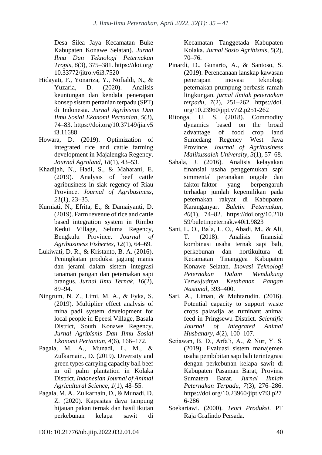Desa Silea Jaya Kecamatan Buke Kabupaten Konawe Selatan). *Jurnal Ilmu Dan Teknologi Peternakan Tropis*, *6*(3), 375–381. https://doi.org/ 10.33772/jitro.v6i3.7520

- Hidayati, F., Yonariza, Y., Nofialdi, N., & Yuzaria, D. (2020). Analisis keuntungan dan kendala penerapan konsep sistem pertanian terpadu (SPT) di Indonesia. *Jurnal Agribisnis Dan Ilmu Sosial Ekonomi Pertanian*, *5*(3), 74–83. https://doi.org/10.37149/jia.v5 i3.11688
- Howara, D. (2019). Optimization of integrated rice and cattle farming development in Majalengka Regency. *Journal Agroland*, *18*(1), 43–53.
- Khadijah, N., Hadi, S., & Maharani, E. (2019). Analysis of beef cattle agribusiness in siak regency of Riau Province. *Journal of Agribusiness*, *21*(1), 23–35.
- Kurniati, N., Efrita, E., & Damaiyanti, D. (2019). Farm revenue of rice and cattle based integration system in Rimbo Kedui Village, Seluma Regency, Bengkulu Province. *Journal of Agribusiness Fisheries*, *12*(1), 64–69.
- Lukiwati, D. R., & Kristanto, B. A. (2016). Peningkatan produksi jagung manis dan jerami dalam sistem integrasi tanaman pangan dan peternakan sapi brangus. *Jurnal Ilmu Ternak*, *16*(2), 89–94.
- Ningrum, N. Z., Limi, M. A., & Fyka, S. (2019). Multiplier effect analysis of mina padi system development for local people in Epeesi Village, Basala District, South Konawe Regency. *Jurnal Agribisnis Dan Ilmu Sosial Ekonomi Pertanian*, *4*(6), 166–172.
- Pagala, M. A., Munadi, L. M., & Zulkarnain., D. (2019). Diversity and green types carrying capacity bali beef in oil palm plantation in Kolaka District. *Indonesian Journal of Animal Agricultural Science*, *1*(1), 48–55.
- Pagala, M. A., Zulkarnain, D., & Munadi, D. Z. (2020). Kapasitas daya tampung hijauan pakan ternak dan hasil ikutan perkebunan kelapa sawit di

Kecamatan Tanggetada Kabupaten Kolaka. *Jurnal Sosio Agribisnis*, *5*(2), 70–76.

- Pinardi, D., Gunarto, A., & Santoso, S. (2019). Perencanaan lanskap kawasan penerapan inovasi teknologi peternakan prumpung berbasis ramah lingkungan. *jurnal ilmiah peternakan terpadu*, *7*(2), 251–262. https://doi. org/10.23960/jipt.v7i2.p251-262
- Ritonga, U. S. (2018). Commodity dynamics based on the broad advantage of food crop land Sumedang Regency West Java Province. *Journal of Agribusiness Malikussaleh University*, *3*(1), 57–68.
- Sahala, J. (2016). Analisis kelayakan finansial usaha penggemukan sapi simmental peranakan ongole dan faktor-faktor yang berpengaruh terhadap jumlah kepemilikan pada peternakan rakyat di Kabupaten Karanganyar. *Buletin Peternakan*, *40*(1), 74–82. https://doi.org/10.210 59/buletinpeternak.v40i1.9823
- Sani, L. O., Ba`a, L. O., Abadi, M., & Ali, T. (2018). Analisis finansial kombinasi usaha ternak sapi bali, perkebunan dan hortikultura di Kecamatan Tinanggea Kabupaten Konawe Selatan. *Inovasi Teknologi Peternakan Dalam Mendukung Terwujudnya Ketahanan Pangan Nasional*, 393–400.
- Sari, A., Liman, & Muhtarudin. (2016). Potential capacity to support waste crops palawija as ruminant animal feed in Pringsewu District. *Scientific Journal of Integrated Animal Husbandry*, *4*(2), 100–107.
- Setiawan, B. D., Arfa'i, A., & Nur, Y. S. (2019). Evaluasi sistem manajemen usaha pembibitan sapi bali terintegrasi dengan perkebunan kelapa sawit di Kabupaten Pasaman Barat, Provinsi Sumatera Barat. *Jurnal Ilmiah Peternakan Terpadu*, *7*(3), 276–286. https://doi.org/10.23960/jipt.v7i3.p27 6-286
- Soekartawi. (2000). *Teori Produksi*. PT Raja Grafindo Persada.